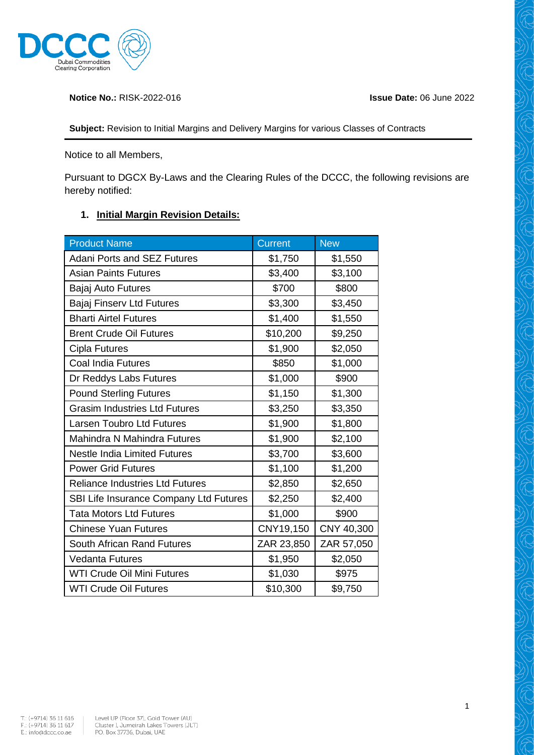

**Notice No.:** RISK-2022-016 **Issue Date:** 06 June 2022

**Subject:** Revision to Initial Margins and Delivery Margins for various Classes of Contracts

Notice to all Members,

Pursuant to DGCX By-Laws and the Clearing Rules of the DCCC, the following revisions are hereby notified:

## **1. Initial Margin Revision Details:**

| <b>Product Name</b>                    | <b>Current</b> | <b>New</b> |
|----------------------------------------|----------------|------------|
| <b>Adani Ports and SEZ Futures</b>     | \$1,750        | \$1,550    |
| <b>Asian Paints Futures</b>            | \$3,400        | \$3,100    |
| Bajaj Auto Futures                     | \$700          | \$800      |
| <b>Bajaj Finserv Ltd Futures</b>       | \$3,300        | \$3,450    |
| <b>Bharti Airtel Futures</b>           | \$1,400        | \$1,550    |
| <b>Brent Crude Oil Futures</b>         | \$10,200       | \$9,250    |
| Cipla Futures                          | \$1,900        | \$2,050    |
| <b>Coal India Futures</b>              | \$850          | \$1,000    |
| Dr Reddys Labs Futures                 | \$1,000        | \$900      |
| <b>Pound Sterling Futures</b>          | \$1,150        | \$1,300    |
| <b>Grasim Industries Ltd Futures</b>   | \$3,250        | \$3,350    |
| <b>Larsen Toubro Ltd Futures</b>       | \$1,900        | \$1,800    |
| Mahindra N Mahindra Futures            | \$1,900        | \$2,100    |
| <b>Nestle India Limited Futures</b>    | \$3,700        | \$3,600    |
| <b>Power Grid Futures</b>              | \$1,100        | \$1,200    |
| <b>Reliance Industries Ltd Futures</b> | \$2,850        | \$2,650    |
| SBI Life Insurance Company Ltd Futures | \$2,250        | \$2,400    |
| <b>Tata Motors Ltd Futures</b>         | \$1,000        | \$900      |
| <b>Chinese Yuan Futures</b>            | CNY19,150      | CNY 40,300 |
| South African Rand Futures             | ZAR 23,850     | ZAR 57,050 |
| <b>Vedanta Futures</b>                 | \$1,950        | \$2,050    |
| <b>WTI Crude Oil Mini Futures</b>      | \$1,030        | \$975      |
| <b>WTI Crude Oil Futures</b>           | \$10,300       | \$9,750    |